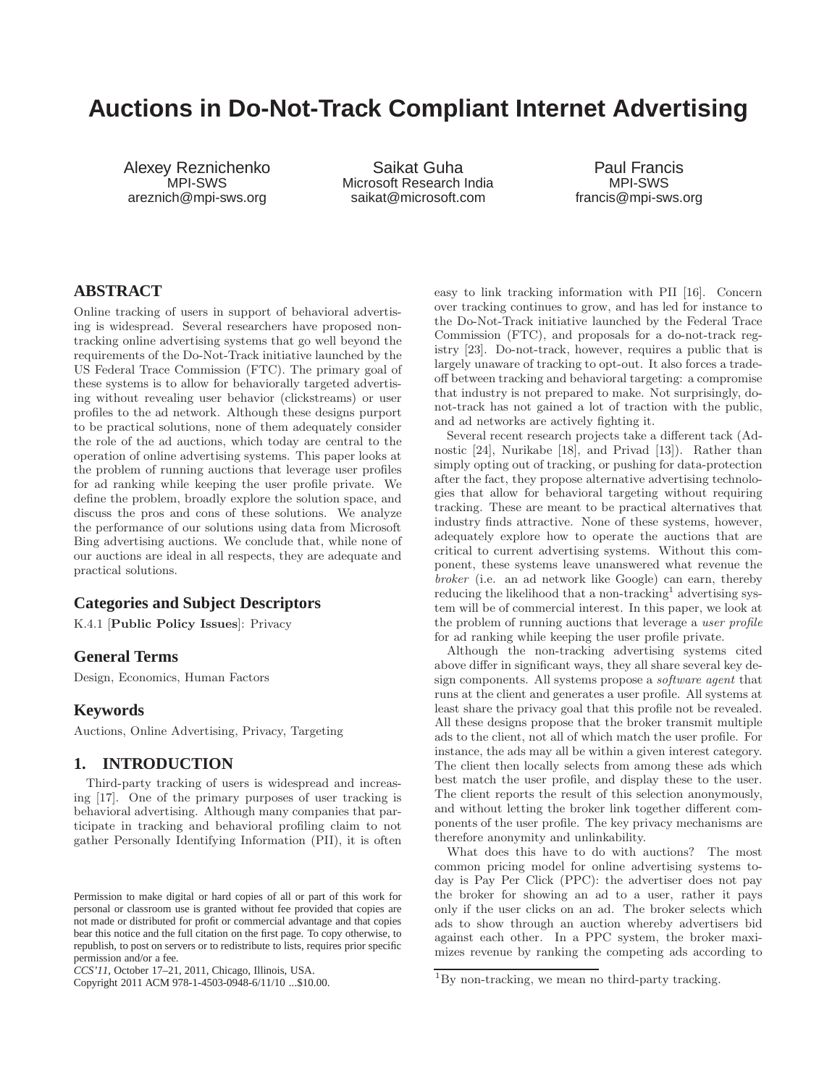# **Auctions in Do-Not-Track Compliant Internet Advertising**

Alexey Reznichenko MPI-SWS areznich@mpi-sws.org

Saikat Guha Microsoft Research India saikat@microsoft.com

Paul Francis MPI-SWS francis@mpi-sws.org

# **ABSTRACT**

Online tracking of users in support of behavioral advertising is widespread. Several researchers have proposed nontracking online advertising systems that go well beyond the requirements of the Do-Not-Track initiative launched by the US Federal Trace Commission (FTC). The primary goal of these systems is to allow for behaviorally targeted advertising without revealing user behavior (clickstreams) or user profiles to the ad network. Although these designs purport to be practical solutions, none of them adequately consider the role of the ad auctions, which today are central to the operation of online advertising systems. This paper looks at the problem of running auctions that leverage user profiles for ad ranking while keeping the user profile private. We define the problem, broadly explore the solution space, and discuss the pros and cons of these solutions. We analyze the performance of our solutions using data from Microsoft Bing advertising auctions. We conclude that, while none of our auctions are ideal in all respects, they are adequate and practical solutions.

# **Categories and Subject Descriptors**

K.4.1 [Public Policy Issues]: Privacy

## **General Terms**

Design, Economics, Human Factors

## **Keywords**

Auctions, Online Advertising, Privacy, Targeting

# **1. INTRODUCTION**

Third-party tracking of users is widespread and increasing [17]. One of the primary purposes of user tracking is behavioral advertising. Although many companies that participate in tracking and behavioral profiling claim to not gather Personally Identifying Information (PII), it is often

Copyright 2011 ACM 978-1-4503-0948-6/11/10 ...\$10.00.

easy to link tracking information with PII [16]. Concern over tracking continues to grow, and has led for instance to the Do-Not-Track initiative launched by the Federal Trace Commission (FTC), and proposals for a do-not-track registry [23]. Do-not-track, however, requires a public that is largely unaware of tracking to opt-out. It also forces a tradeoff between tracking and behavioral targeting: a compromise that industry is not prepared to make. Not surprisingly, donot-track has not gained a lot of traction with the public, and ad networks are actively fighting it.

Several recent research projects take a different tack (Adnostic [24], Nurikabe [18], and Privad [13]). Rather than simply opting out of tracking, or pushing for data-protection after the fact, they propose alternative advertising technologies that allow for behavioral targeting without requiring tracking. These are meant to be practical alternatives that industry finds attractive. None of these systems, however, adequately explore how to operate the auctions that are critical to current advertising systems. Without this component, these systems leave unanswered what revenue the broker (i.e. an ad network like Google) can earn, thereby reducing the likelihood that a non-tracking<sup>1</sup> advertising system will be of commercial interest. In this paper, we look at the problem of running auctions that leverage a user profile for ad ranking while keeping the user profile private.

Although the non-tracking advertising systems cited above differ in significant ways, they all share several key design components. All systems propose a software agent that runs at the client and generates a user profile. All systems at least share the privacy goal that this profile not be revealed. All these designs propose that the broker transmit multiple ads to the client, not all of which match the user profile. For instance, the ads may all be within a given interest category. The client then locally selects from among these ads which best match the user profile, and display these to the user. The client reports the result of this selection anonymously, and without letting the broker link together different components of the user profile. The key privacy mechanisms are therefore anonymity and unlinkability.

What does this have to do with auctions? The most common pricing model for online advertising systems today is Pay Per Click (PPC): the advertiser does not pay the broker for showing an ad to a user, rather it pays only if the user clicks on an ad. The broker selects which ads to show through an auction whereby advertisers bid against each other. In a PPC system, the broker maximizes revenue by ranking the competing ads according to

Permission to make digital or hard copies of all or part of this work for personal or classroom use is granted without fee provided that copies are not made or distributed for profit or commercial advantage and that copies bear this notice and the full citation on the first page. To copy otherwise, to republish, to post on servers or to redistribute to lists, requires prior specific permission and/or a fee.

*CCS'11,* October 17–21, 2011, Chicago, Illinois, USA.

 ${}^{1}$ By non-tracking, we mean no third-party tracking.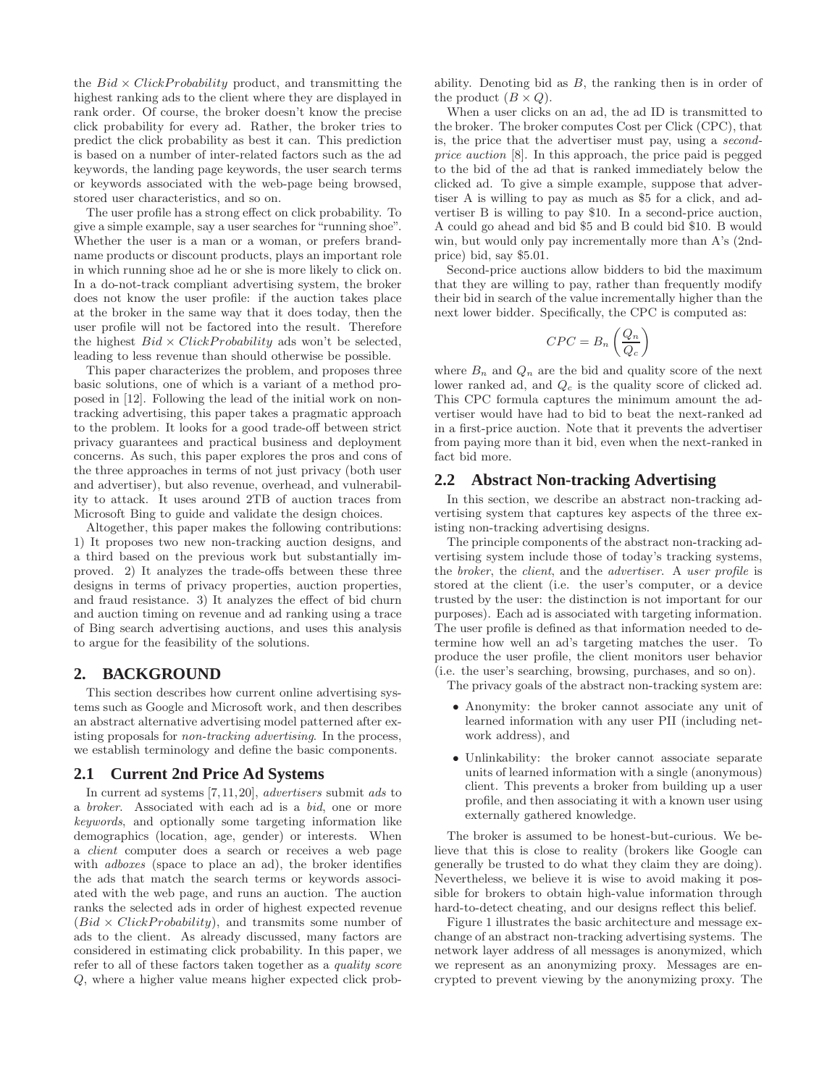the  $Bid \times ClickProbability$  product, and transmitting the highest ranking ads to the client where they are displayed in rank order. Of course, the broker doesn't know the precise click probability for every ad. Rather, the broker tries to predict the click probability as best it can. This prediction is based on a number of inter-related factors such as the ad keywords, the landing page keywords, the user search terms or keywords associated with the web-page being browsed, stored user characteristics, and so on.

The user profile has a strong effect on click probability. To give a simple example, say a user searches for "running shoe". Whether the user is a man or a woman, or prefers brandname products or discount products, plays an important role in which running shoe ad he or she is more likely to click on. In a do-not-track compliant advertising system, the broker does not know the user profile: if the auction takes place at the broker in the same way that it does today, then the user profile will not be factored into the result. Therefore the highest  $Bid \times ClickProbability$  ads won't be selected, leading to less revenue than should otherwise be possible.

This paper characterizes the problem, and proposes three basic solutions, one of which is a variant of a method proposed in [12]. Following the lead of the initial work on nontracking advertising, this paper takes a pragmatic approach to the problem. It looks for a good trade-off between strict privacy guarantees and practical business and deployment concerns. As such, this paper explores the pros and cons of the three approaches in terms of not just privacy (both user and advertiser), but also revenue, overhead, and vulnerability to attack. It uses around 2TB of auction traces from Microsoft Bing to guide and validate the design choices.

Altogether, this paper makes the following contributions: 1) It proposes two new non-tracking auction designs, and a third based on the previous work but substantially improved. 2) It analyzes the trade-offs between these three designs in terms of privacy properties, auction properties, and fraud resistance. 3) It analyzes the effect of bid churn and auction timing on revenue and ad ranking using a trace of Bing search advertising auctions, and uses this analysis to argue for the feasibility of the solutions.

## **2. BACKGROUND**

This section describes how current online advertising systems such as Google and Microsoft work, and then describes an abstract alternative advertising model patterned after existing proposals for non-tracking advertising. In the process, we establish terminology and define the basic components.

#### **2.1 Current 2nd Price Ad Systems**

In current ad systems [7,11,20], advertisers submit ads to a broker. Associated with each ad is a bid, one or more keywords, and optionally some targeting information like demographics (location, age, gender) or interests. When a client computer does a search or receives a web page with *adboxes* (space to place an ad), the broker identifies the ads that match the search terms or keywords associated with the web page, and runs an auction. The auction ranks the selected ads in order of highest expected revenue  $(Bid \times ClickProbability)$ , and transmits some number of ads to the client. As already discussed, many factors are considered in estimating click probability. In this paper, we refer to all of these factors taken together as a quality score Q, where a higher value means higher expected click probability. Denoting bid as  $B$ , the ranking then is in order of the product  $(B \times Q)$ .

When a user clicks on an ad, the ad ID is transmitted to the broker. The broker computes Cost per Click (CPC), that is, the price that the advertiser must pay, using a secondprice auction [8]. In this approach, the price paid is pegged to the bid of the ad that is ranked immediately below the clicked ad. To give a simple example, suppose that advertiser A is willing to pay as much as \$5 for a click, and advertiser B is willing to pay \$10. In a second-price auction, A could go ahead and bid \$5 and B could bid \$10. B would win, but would only pay incrementally more than A's (2ndprice) bid, say \$5.01.

Second-price auctions allow bidders to bid the maximum that they are willing to pay, rather than frequently modify their bid in search of the value incrementally higher than the next lower bidder. Specifically, the CPC is computed as:

$$
CPC = B_n \left(\frac{Q_n}{Q_c}\right)
$$

where  $B_n$  and  $Q_n$  are the bid and quality score of the next lower ranked ad, and  $Q_c$  is the quality score of clicked ad. This CPC formula captures the minimum amount the advertiser would have had to bid to beat the next-ranked ad in a first-price auction. Note that it prevents the advertiser from paying more than it bid, even when the next-ranked in fact bid more.

## **2.2 Abstract Non-tracking Advertising**

In this section, we describe an abstract non-tracking advertising system that captures key aspects of the three existing non-tracking advertising designs.

The principle components of the abstract non-tracking advertising system include those of today's tracking systems, the broker, the client, and the advertiser. A user profile is stored at the client (i.e. the user's computer, or a device trusted by the user: the distinction is not important for our purposes). Each ad is associated with targeting information. The user profile is defined as that information needed to determine how well an ad's targeting matches the user. To produce the user profile, the client monitors user behavior (i.e. the user's searching, browsing, purchases, and so on).

The privacy goals of the abstract non-tracking system are:

- Anonymity: the broker cannot associate any unit of learned information with any user PII (including network address), and
- Unlinkability: the broker cannot associate separate units of learned information with a single (anonymous) client. This prevents a broker from building up a user profile, and then associating it with a known user using externally gathered knowledge.

The broker is assumed to be honest-but-curious. We believe that this is close to reality (brokers like Google can generally be trusted to do what they claim they are doing). Nevertheless, we believe it is wise to avoid making it possible for brokers to obtain high-value information through hard-to-detect cheating, and our designs reflect this belief.

Figure 1 illustrates the basic architecture and message exchange of an abstract non-tracking advertising systems. The network layer address of all messages is anonymized, which we represent as an anonymizing proxy. Messages are encrypted to prevent viewing by the anonymizing proxy. The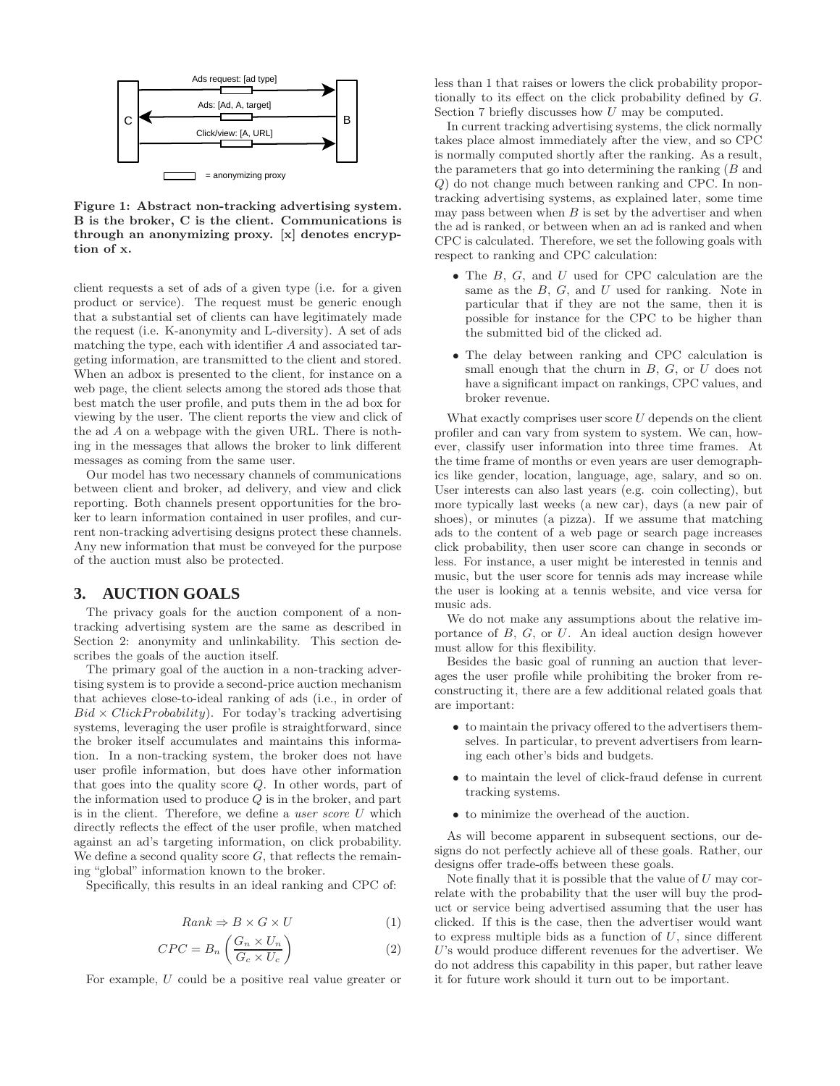

Figure 1: Abstract non-tracking advertising system. B is the broker, C is the client. Communications is through an anonymizing proxy. [x] denotes encryption of x.

client requests a set of ads of a given type (i.e. for a given product or service). The request must be generic enough that a substantial set of clients can have legitimately made the request (i.e. K-anonymity and L-diversity). A set of ads matching the type, each with identifier A and associated targeting information, are transmitted to the client and stored. When an adbox is presented to the client, for instance on a web page, the client selects among the stored ads those that best match the user profile, and puts them in the ad box for viewing by the user. The client reports the view and click of the ad A on a webpage with the given URL. There is nothing in the messages that allows the broker to link different messages as coming from the same user.

Our model has two necessary channels of communications between client and broker, ad delivery, and view and click reporting. Both channels present opportunities for the broker to learn information contained in user profiles, and current non-tracking advertising designs protect these channels. Any new information that must be conveyed for the purpose of the auction must also be protected.

## **3. AUCTION GOALS**

The privacy goals for the auction component of a nontracking advertising system are the same as described in Section 2: anonymity and unlinkability. This section describes the goals of the auction itself.

The primary goal of the auction in a non-tracking advertising system is to provide a second-price auction mechanism that achieves close-to-ideal ranking of ads (i.e., in order of  $Bid \times ClickProbability$ ). For today's tracking advertising systems, leveraging the user profile is straightforward, since the broker itself accumulates and maintains this information. In a non-tracking system, the broker does not have user profile information, but does have other information that goes into the quality score Q. In other words, part of the information used to produce  $Q$  is in the broker, and part is in the client. Therefore, we define a user score U which directly reflects the effect of the user profile, when matched against an ad's targeting information, on click probability. We define a second quality score  $G$ , that reflects the remaining "global" information known to the broker.

Specifically, this results in an ideal ranking and CPC of:

$$
Rank \Rightarrow B \times G \times U \tag{1}
$$

$$
CPC = B_n \left( \frac{G_n \times U_n}{G_c \times U_c} \right) \tag{2}
$$

For example, U could be a positive real value greater or

less than 1 that raises or lowers the click probability proportionally to its effect on the click probability defined by G. Section 7 briefly discusses how U may be computed.

In current tracking advertising systems, the click normally takes place almost immediately after the view, and so CPC is normally computed shortly after the ranking. As a result, the parameters that go into determining the ranking  $(B \text{ and }$ Q) do not change much between ranking and CPC. In nontracking advertising systems, as explained later, some time may pass between when  $B$  is set by the advertiser and when the ad is ranked, or between when an ad is ranked and when CPC is calculated. Therefore, we set the following goals with respect to ranking and CPC calculation:

- The B, G, and U used for CPC calculation are the same as the  $B, G$ , and  $U$  used for ranking. Note in particular that if they are not the same, then it is possible for instance for the CPC to be higher than the submitted bid of the clicked ad.
- The delay between ranking and CPC calculation is small enough that the churn in  $B$ ,  $G$ , or  $U$  does not have a significant impact on rankings, CPC values, and broker revenue.

What exactly comprises user score  $U$  depends on the client profiler and can vary from system to system. We can, however, classify user information into three time frames. At the time frame of months or even years are user demographics like gender, location, language, age, salary, and so on. User interests can also last years (e.g. coin collecting), but more typically last weeks (a new car), days (a new pair of shoes), or minutes (a pizza). If we assume that matching ads to the content of a web page or search page increases click probability, then user score can change in seconds or less. For instance, a user might be interested in tennis and music, but the user score for tennis ads may increase while the user is looking at a tennis website, and vice versa for music ads.

We do not make any assumptions about the relative importance of  $B$ ,  $G$ , or  $U$ . An ideal auction design however must allow for this flexibility.

Besides the basic goal of running an auction that leverages the user profile while prohibiting the broker from reconstructing it, there are a few additional related goals that are important:

- to maintain the privacy offered to the advertisers themselves. In particular, to prevent advertisers from learning each other's bids and budgets.
- to maintain the level of click-fraud defense in current tracking systems.
- to minimize the overhead of the auction.

As will become apparent in subsequent sections, our designs do not perfectly achieve all of these goals. Rather, our designs offer trade-offs between these goals.

Note finally that it is possible that the value of  $U$  may correlate with the probability that the user will buy the product or service being advertised assuming that the user has clicked. If this is the case, then the advertiser would want to express multiple bids as a function of  $U$ , since different U's would produce different revenues for the advertiser. We do not address this capability in this paper, but rather leave it for future work should it turn out to be important.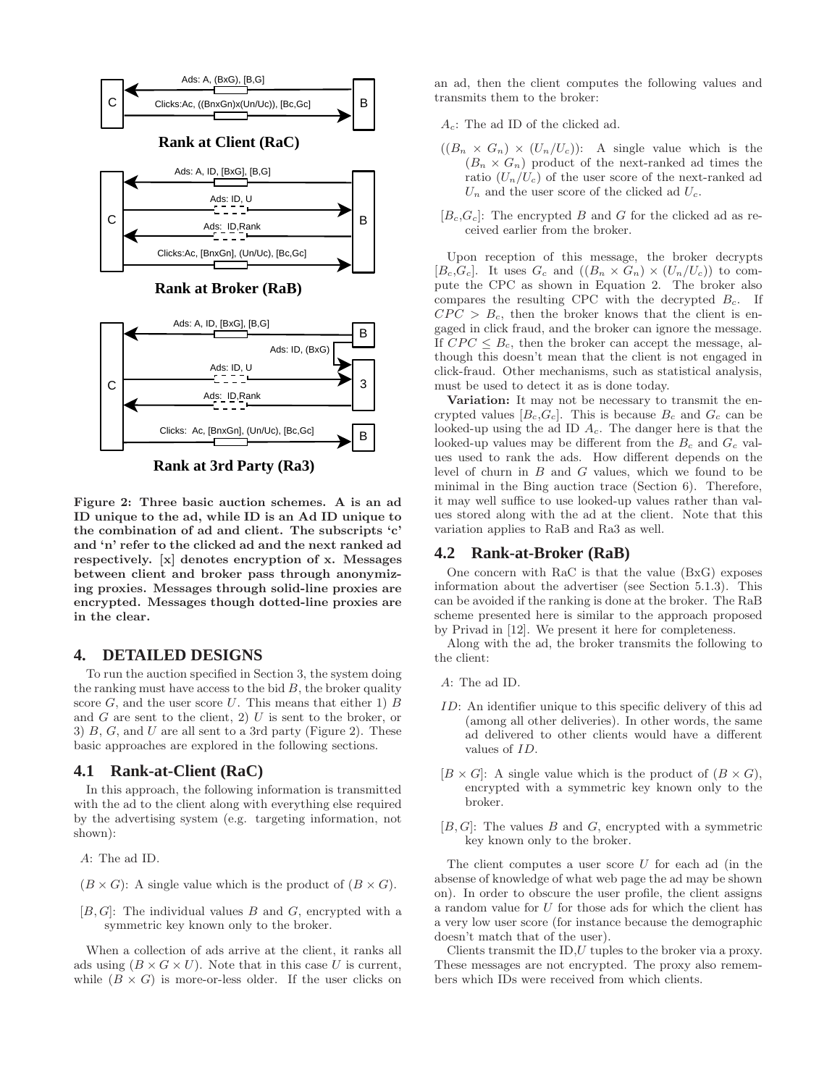

**Rank at 3rd Party (Ra3)**

Figure 2: Three basic auction schemes. A is an ad ID unique to the ad, while ID is an Ad ID unique to the combination of ad and client. The subscripts 'c' and 'n' refer to the clicked ad and the next ranked ad respectively. [x] denotes encryption of x. Messages between client and broker pass through anonymizing proxies. Messages through solid-line proxies are encrypted. Messages though dotted-line proxies are in the clear.

# **4. DETAILED DESIGNS**

To run the auction specified in Section 3, the system doing the ranking must have access to the bid  $B$ , the broker quality score  $G$ , and the user score  $U$ . This means that either 1)  $B$ and  $G$  are sent to the client, 2)  $U$  is sent to the broker, or 3)  $B$ ,  $G$ , and  $U$  are all sent to a 3rd party (Figure 2). These basic approaches are explored in the following sections.

#### **4.1 Rank-at-Client (RaC)**

In this approach, the following information is transmitted with the ad to the client along with everything else required by the advertising system (e.g. targeting information, not shown):

A: The ad ID.

 $(B \times G)$ : A single value which is the product of  $(B \times G)$ .

 $[B, G]$ : The individual values B and G, encrypted with a symmetric key known only to the broker.

When a collection of ads arrive at the client, it ranks all ads using  $(B \times G \times U)$ . Note that in this case U is current, while  $(B \times G)$  is more-or-less older. If the user clicks on

an ad, then the client computes the following values and transmits them to the broker:

- $A_c$ : The ad ID of the clicked ad.
- $((B_n \times G_n) \times (U_n/U_c))$ : A single value which is the  $(B_n \times G_n)$  product of the next-ranked ad times the ratio  $(U_n/U_c)$  of the user score of the next-ranked ad  $U_n$  and the user score of the clicked ad  $U_c$ .
- $[B_c,G_c]$ : The encrypted B and G for the clicked ad as received earlier from the broker.

Upon reception of this message, the broker decrypts  $[B_c,G_c]$ . It uses  $G_c$  and  $((B_n \times G_n) \times (U_n/U_c))$  to compute the CPC as shown in Equation 2. The broker also compares the resulting CPC with the decrypted  $B_c$ . If  $CPC > B<sub>c</sub>$ , then the broker knows that the client is engaged in click fraud, and the broker can ignore the message. If  $CPC \leq B_c$ , then the broker can accept the message, although this doesn't mean that the client is not engaged in click-fraud. Other mechanisms, such as statistical analysis, must be used to detect it as is done today.

Variation: It may not be necessary to transmit the encrypted values  $[B_c, G_c]$ . This is because  $B_c$  and  $G_c$  can be looked-up using the ad ID  $A_c$ . The danger here is that the looked-up values may be different from the  $B_c$  and  $G_c$  values used to rank the ads. How different depends on the level of churn in B and G values, which we found to be minimal in the Bing auction trace (Section 6). Therefore, it may well suffice to use looked-up values rather than values stored along with the ad at the client. Note that this variation applies to RaB and Ra3 as well.

#### **4.2 Rank-at-Broker (RaB)**

One concern with RaC is that the value (BxG) exposes information about the advertiser (see Section 5.1.3). This can be avoided if the ranking is done at the broker. The RaB scheme presented here is similar to the approach proposed by Privad in [12]. We present it here for completeness.

Along with the ad, the broker transmits the following to the client:

- A: The ad ID.
- ID: An identifier unique to this specific delivery of this ad (among all other deliveries). In other words, the same ad delivered to other clients would have a different values of ID.
- $[B \times G]$ : A single value which is the product of  $(B \times G)$ , encrypted with a symmetric key known only to the broker.
- $[B, G]$ : The values B and G, encrypted with a symmetric key known only to the broker.

The client computes a user score  $U$  for each ad (in the absense of knowledge of what web page the ad may be shown on). In order to obscure the user profile, the client assigns a random value for U for those ads for which the client has a very low user score (for instance because the demographic doesn't match that of the user).

Clients transmit the  $ID, U$  tuples to the broker via a proxy. These messages are not encrypted. The proxy also remembers which IDs were received from which clients.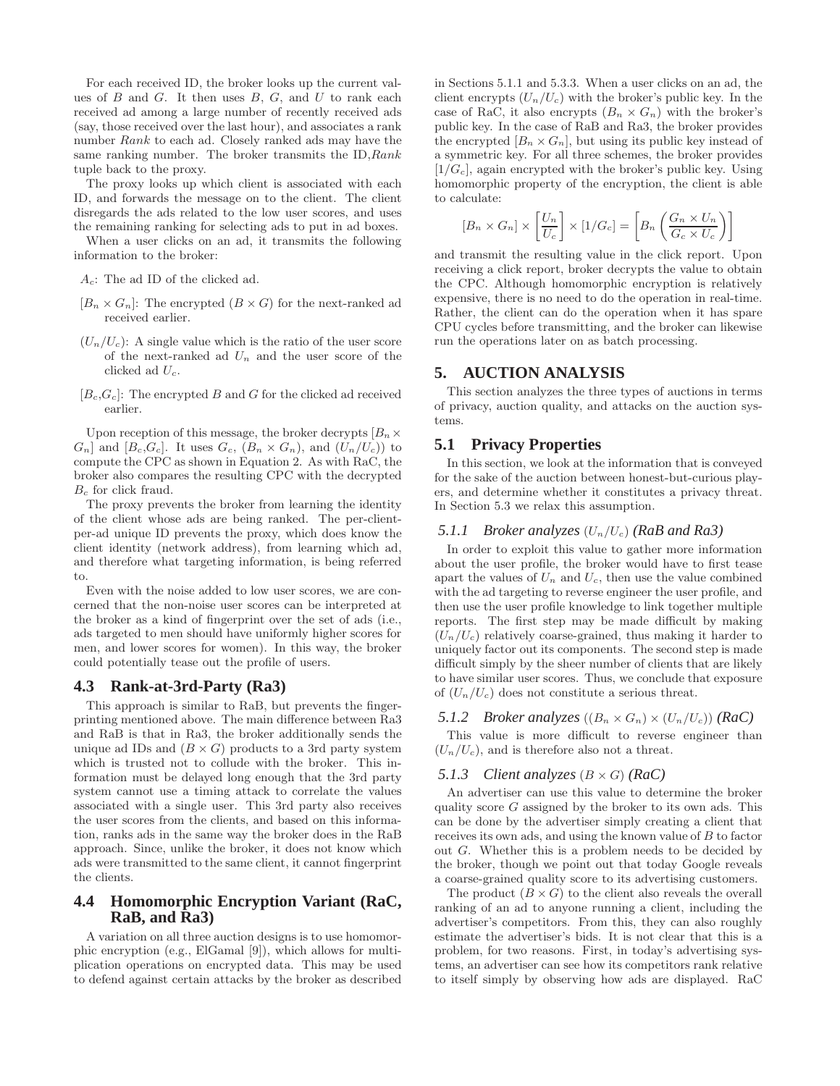For each received ID, the broker looks up the current values of  $B$  and  $G$ . It then uses  $B$ ,  $G$ , and  $U$  to rank each received ad among a large number of recently received ads (say, those received over the last hour), and associates a rank number Rank to each ad. Closely ranked ads may have the same ranking number. The broker transmits the ID, Rank tuple back to the proxy.

The proxy looks up which client is associated with each ID, and forwards the message on to the client. The client disregards the ads related to the low user scores, and uses the remaining ranking for selecting ads to put in ad boxes.

When a user clicks on an ad, it transmits the following information to the broker:

- $A_c$ : The ad ID of the clicked ad.
- $[B_n \times G_n]$ : The encrypted  $(B \times G)$  for the next-ranked ad received earlier.
- $(U_n/U_c)$ : A single value which is the ratio of the user score of the next-ranked ad  $U_n$  and the user score of the clicked ad  $U_c$ .
- $[B_c,G_c]$ : The encrypted B and G for the clicked ad received earlier.

Upon reception of this message, the broker decrypts  $[B_n \times$  $G_n$  and  $[B_c,G_c]$ . It uses  $G_c$ ,  $(B_n \times G_n)$ , and  $(U_n/U_c)$  to compute the CPC as shown in Equation 2. As with RaC, the broker also compares the resulting CPC with the decrypted  $B_c$  for click fraud.

The proxy prevents the broker from learning the identity of the client whose ads are being ranked. The per-clientper-ad unique ID prevents the proxy, which does know the client identity (network address), from learning which ad, and therefore what targeting information, is being referred to.

Even with the noise added to low user scores, we are concerned that the non-noise user scores can be interpreted at the broker as a kind of fingerprint over the set of ads (i.e., ads targeted to men should have uniformly higher scores for men, and lower scores for women). In this way, the broker could potentially tease out the profile of users.

#### **4.3 Rank-at-3rd-Party (Ra3)**

This approach is similar to RaB, but prevents the fingerprinting mentioned above. The main difference between Ra3 and RaB is that in Ra3, the broker additionally sends the unique ad IDs and  $(B \times G)$  products to a 3rd party system which is trusted not to collude with the broker. This information must be delayed long enough that the 3rd party system cannot use a timing attack to correlate the values associated with a single user. This 3rd party also receives the user scores from the clients, and based on this information, ranks ads in the same way the broker does in the RaB approach. Since, unlike the broker, it does not know which ads were transmitted to the same client, it cannot fingerprint the clients.

# **4.4 Homomorphic Encryption Variant (RaC, RaB, and Ra3)**

A variation on all three auction designs is to use homomorphic encryption (e.g., ElGamal [9]), which allows for multiplication operations on encrypted data. This may be used to defend against certain attacks by the broker as described in Sections 5.1.1 and 5.3.3. When a user clicks on an ad, the client encrypts  $(U_n/U_c)$  with the broker's public key. In the case of RaC, it also encrypts  $(B_n \times G_n)$  with the broker's public key. In the case of RaB and Ra3, the broker provides the encrypted  $[B_n \times G_n]$ , but using its public key instead of a symmetric key. For all three schemes, the broker provides  $[1/G_c]$ , again encrypted with the broker's public key. Using homomorphic property of the encryption, the client is able to calculate:

$$
[B_n \times G_n] \times \left[\frac{U_n}{U_c}\right] \times [1/G_c] = \left[B_n \left(\frac{G_n \times U_n}{G_c \times U_c}\right)\right]
$$

and transmit the resulting value in the click report. Upon receiving a click report, broker decrypts the value to obtain the CPC. Although homomorphic encryption is relatively expensive, there is no need to do the operation in real-time. Rather, the client can do the operation when it has spare CPU cycles before transmitting, and the broker can likewise run the operations later on as batch processing.

# **5. AUCTION ANALYSIS**

This section analyzes the three types of auctions in terms of privacy, auction quality, and attacks on the auction systems.

# **5.1 Privacy Properties**

In this section, we look at the information that is conveyed for the sake of the auction between honest-but-curious players, and determine whether it constitutes a privacy threat. In Section 5.3 we relax this assumption.

#### *5.1.1 Broker analyzes* (Un/Uc) *(RaB and Ra3)*

In order to exploit this value to gather more information about the user profile, the broker would have to first tease apart the values of  $U_n$  and  $U_c$ , then use the value combined with the ad targeting to reverse engineer the user profile, and then use the user profile knowledge to link together multiple reports. The first step may be made difficult by making  $(U_n/U_c)$  relatively coarse-grained, thus making it harder to uniquely factor out its components. The second step is made difficult simply by the sheer number of clients that are likely to have similar user scores. Thus, we conclude that exposure of  $(U_n/U_c)$  does not constitute a serious threat.

## *5.1.2 Broker analyzes*  $((B_n \times G_n) \times (U_n/U_c))$  *(RaC)*

This value is more difficult to reverse engineer than  $(U_n/U_c)$ , and is therefore also not a threat.

## *5.1.3 Client analyzes* (B × G) *(RaC)*

An advertiser can use this value to determine the broker quality score  $G$  assigned by the broker to its own ads. This can be done by the advertiser simply creating a client that receives its own ads, and using the known value of B to factor out G. Whether this is a problem needs to be decided by the broker, though we point out that today Google reveals a coarse-grained quality score to its advertising customers.

The product  $(B \times G)$  to the client also reveals the overall ranking of an ad to anyone running a client, including the advertiser's competitors. From this, they can also roughly estimate the advertiser's bids. It is not clear that this is a problem, for two reasons. First, in today's advertising systems, an advertiser can see how its competitors rank relative to itself simply by observing how ads are displayed. RaC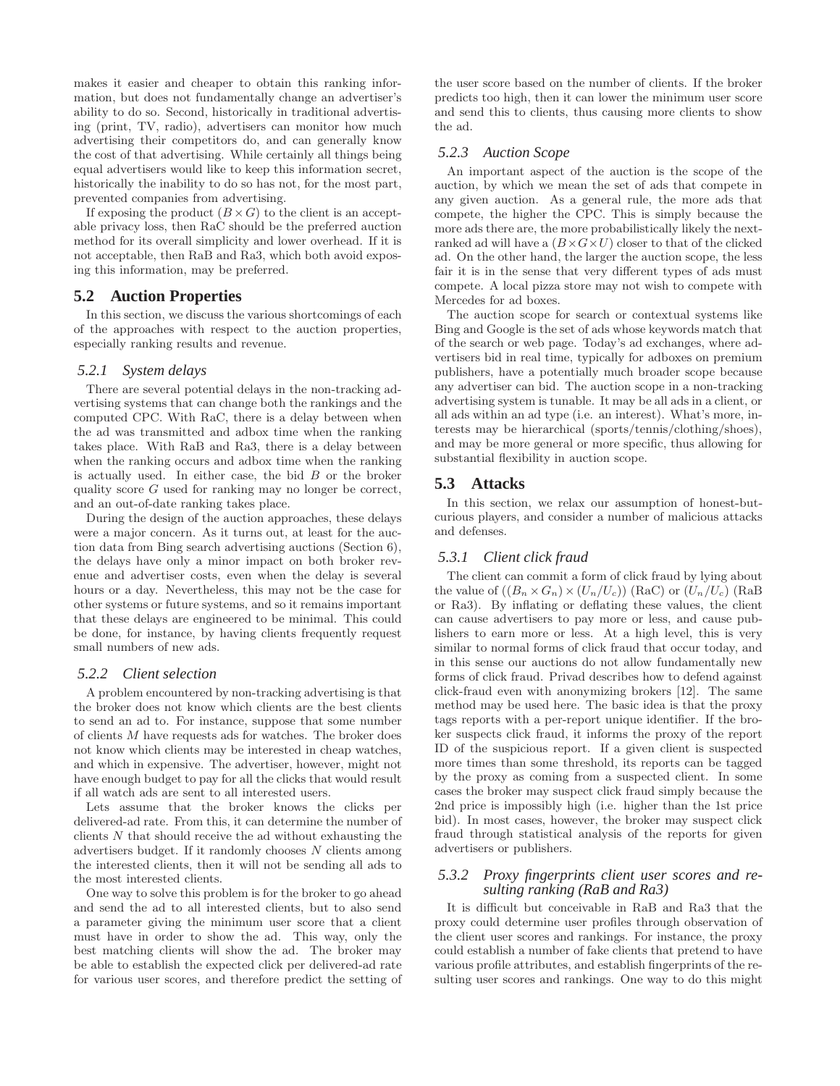makes it easier and cheaper to obtain this ranking information, but does not fundamentally change an advertiser's ability to do so. Second, historically in traditional advertising (print, TV, radio), advertisers can monitor how much advertising their competitors do, and can generally know the cost of that advertising. While certainly all things being equal advertisers would like to keep this information secret, historically the inability to do so has not, for the most part, prevented companies from advertising.

If exposing the product  $(B \times G)$  to the client is an acceptable privacy loss, then RaC should be the preferred auction method for its overall simplicity and lower overhead. If it is not acceptable, then RaB and Ra3, which both avoid exposing this information, may be preferred.

## **5.2 Auction Properties**

In this section, we discuss the various shortcomings of each of the approaches with respect to the auction properties, especially ranking results and revenue.

#### *5.2.1 System delays*

There are several potential delays in the non-tracking advertising systems that can change both the rankings and the computed CPC. With RaC, there is a delay between when the ad was transmitted and adbox time when the ranking takes place. With RaB and Ra3, there is a delay between when the ranking occurs and adbox time when the ranking is actually used. In either case, the bid  $B$  or the broker quality score G used for ranking may no longer be correct, and an out-of-date ranking takes place.

During the design of the auction approaches, these delays were a major concern. As it turns out, at least for the auction data from Bing search advertising auctions (Section 6), the delays have only a minor impact on both broker revenue and advertiser costs, even when the delay is several hours or a day. Nevertheless, this may not be the case for other systems or future systems, and so it remains important that these delays are engineered to be minimal. This could be done, for instance, by having clients frequently request small numbers of new ads.

#### *5.2.2 Client selection*

A problem encountered by non-tracking advertising is that the broker does not know which clients are the best clients to send an ad to. For instance, suppose that some number of clients M have requests ads for watches. The broker does not know which clients may be interested in cheap watches, and which in expensive. The advertiser, however, might not have enough budget to pay for all the clicks that would result if all watch ads are sent to all interested users.

Lets assume that the broker knows the clicks per delivered-ad rate. From this, it can determine the number of clients  $N$  that should receive the ad without exhausting the advertisers budget. If it randomly chooses  $N$  clients among the interested clients, then it will not be sending all ads to the most interested clients.

One way to solve this problem is for the broker to go ahead and send the ad to all interested clients, but to also send a parameter giving the minimum user score that a client must have in order to show the ad. This way, only the best matching clients will show the ad. The broker may be able to establish the expected click per delivered-ad rate for various user scores, and therefore predict the setting of the user score based on the number of clients. If the broker predicts too high, then it can lower the minimum user score and send this to clients, thus causing more clients to show the ad.

#### *5.2.3 Auction Scope*

An important aspect of the auction is the scope of the auction, by which we mean the set of ads that compete in any given auction. As a general rule, the more ads that compete, the higher the CPC. This is simply because the more ads there are, the more probabilistically likely the nextranked ad will have a  $(B \times G \times U)$  closer to that of the clicked ad. On the other hand, the larger the auction scope, the less fair it is in the sense that very different types of ads must compete. A local pizza store may not wish to compete with Mercedes for ad boxes.

The auction scope for search or contextual systems like Bing and Google is the set of ads whose keywords match that of the search or web page. Today's ad exchanges, where advertisers bid in real time, typically for adboxes on premium publishers, have a potentially much broader scope because any advertiser can bid. The auction scope in a non-tracking advertising system is tunable. It may be all ads in a client, or all ads within an ad type (i.e. an interest). What's more, interests may be hierarchical (sports/tennis/clothing/shoes), and may be more general or more specific, thus allowing for substantial flexibility in auction scope.

# **5.3 Attacks**

In this section, we relax our assumption of honest-butcurious players, and consider a number of malicious attacks and defenses.

## *5.3.1 Client click fraud*

The client can commit a form of click fraud by lying about the value of  $((B_n \times G_n) \times (U_n/U_c))$  (RaC) or  $(U_n/U_c)$  (RaB or Ra3). By inflating or deflating these values, the client can cause advertisers to pay more or less, and cause publishers to earn more or less. At a high level, this is very similar to normal forms of click fraud that occur today, and in this sense our auctions do not allow fundamentally new forms of click fraud. Privad describes how to defend against click-fraud even with anonymizing brokers [12]. The same method may be used here. The basic idea is that the proxy tags reports with a per-report unique identifier. If the broker suspects click fraud, it informs the proxy of the report ID of the suspicious report. If a given client is suspected more times than some threshold, its reports can be tagged by the proxy as coming from a suspected client. In some cases the broker may suspect click fraud simply because the 2nd price is impossibly high (i.e. higher than the 1st price bid). In most cases, however, the broker may suspect click fraud through statistical analysis of the reports for given advertisers or publishers.

## *5.3.2 Proxy fingerprints client user scores and resulting ranking (RaB and Ra3)*

It is difficult but conceivable in RaB and Ra3 that the proxy could determine user profiles through observation of the client user scores and rankings. For instance, the proxy could establish a number of fake clients that pretend to have various profile attributes, and establish fingerprints of the resulting user scores and rankings. One way to do this might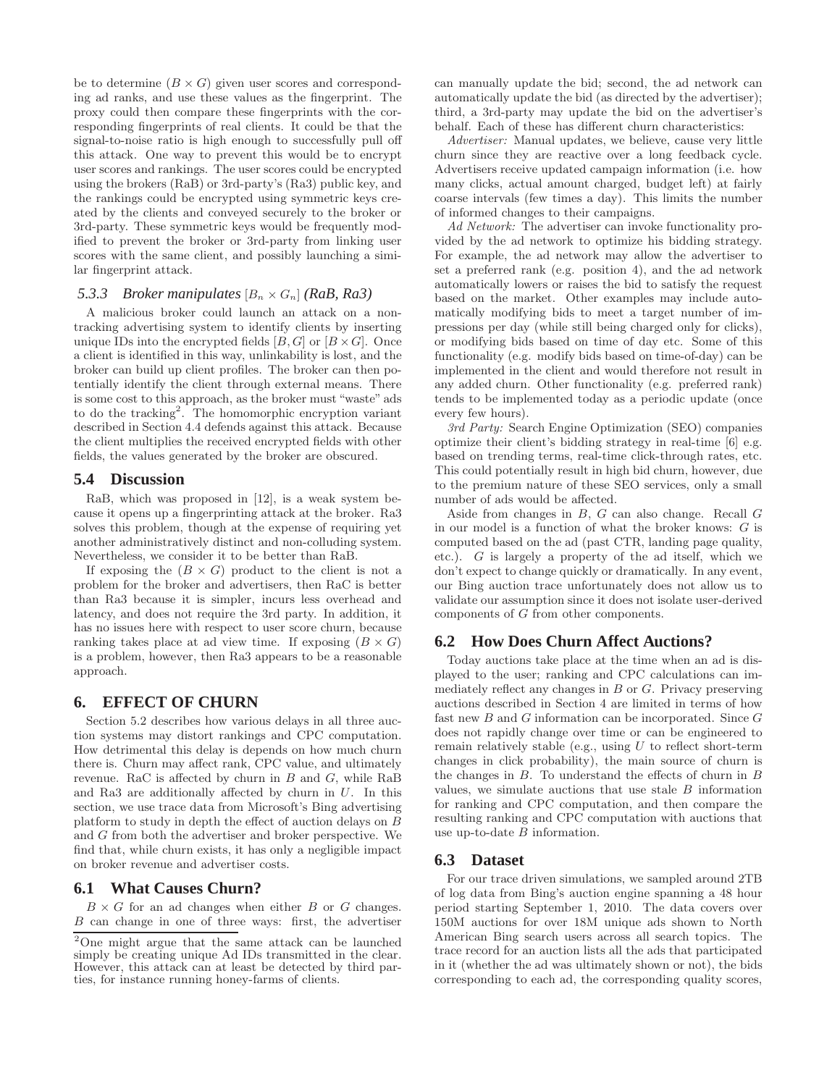be to determine  $(B \times G)$  given user scores and corresponding ad ranks, and use these values as the fingerprint. The proxy could then compare these fingerprints with the corresponding fingerprints of real clients. It could be that the signal-to-noise ratio is high enough to successfully pull off this attack. One way to prevent this would be to encrypt user scores and rankings. The user scores could be encrypted using the brokers (RaB) or 3rd-party's (Ra3) public key, and the rankings could be encrypted using symmetric keys created by the clients and conveyed securely to the broker or 3rd-party. These symmetric keys would be frequently modified to prevent the broker or 3rd-party from linking user scores with the same client, and possibly launching a similar fingerprint attack.

## *5.3.3 Broker manipulates* [B<sup>n</sup> × Gn] *(RaB, Ra3)*

A malicious broker could launch an attack on a nontracking advertising system to identify clients by inserting unique IDs into the encrypted fields  $[B, G]$  or  $[B \times G]$ . Once a client is identified in this way, unlinkability is lost, and the broker can build up client profiles. The broker can then potentially identify the client through external means. There is some cost to this approach, as the broker must "waste" ads<br>to do the tracking<sup>2</sup>. The homomorphic encryption variant described in Section 4.4 defends against this attack. Because the client multiplies the received encrypted fields with other fields, the values generated by the broker are obscured.

## **5.4 Discussion**

RaB, which was proposed in [12], is a weak system because it opens up a fingerprinting attack at the broker. Ra3 solves this problem, though at the expense of requiring yet another administratively distinct and non-colluding system. Nevertheless, we consider it to be better than RaB.

If exposing the  $(B \times G)$  product to the client is not a problem for the broker and advertisers, then RaC is better than Ra3 because it is simpler, incurs less overhead and latency, and does not require the 3rd party. In addition, it has no issues here with respect to user score churn, because ranking takes place at ad view time. If exposing  $(B \times G)$ is a problem, however, then Ra3 appears to be a reasonable approach.

# **6. EFFECT OF CHURN**

Section 5.2 describes how various delays in all three auction systems may distort rankings and CPC computation. How detrimental this delay is depends on how much churn there is. Churn may affect rank, CPC value, and ultimately revenue. RaC is affected by churn in  $B$  and  $G$ , while RaB and Ra3 are additionally affected by churn in  $U$ . In this section, we use trace data from Microsoft's Bing advertising platform to study in depth the effect of auction delays on B and G from both the advertiser and broker perspective. We find that, while churn exists, it has only a negligible impact on broker revenue and advertiser costs.

#### **6.1 What Causes Churn?**

 $B \times G$  for an ad changes when either B or G changes. B can change in one of three ways: first, the advertiser can manually update the bid; second, the ad network can automatically update the bid (as directed by the advertiser); third, a 3rd-party may update the bid on the advertiser's behalf. Each of these has different churn characteristics:

Advertiser: Manual updates, we believe, cause very little churn since they are reactive over a long feedback cycle. Advertisers receive updated campaign information (i.e. how many clicks, actual amount charged, budget left) at fairly coarse intervals (few times a day). This limits the number of informed changes to their campaigns.

Ad Network: The advertiser can invoke functionality provided by the ad network to optimize his bidding strategy. For example, the ad network may allow the advertiser to set a preferred rank (e.g. position 4), and the ad network automatically lowers or raises the bid to satisfy the request based on the market. Other examples may include automatically modifying bids to meet a target number of impressions per day (while still being charged only for clicks), or modifying bids based on time of day etc. Some of this functionality (e.g. modify bids based on time-of-day) can be implemented in the client and would therefore not result in any added churn. Other functionality (e.g. preferred rank) tends to be implemented today as a periodic update (once every few hours).

3rd Party: Search Engine Optimization (SEO) companies optimize their client's bidding strategy in real-time [6] e.g. based on trending terms, real-time click-through rates, etc. This could potentially result in high bid churn, however, due to the premium nature of these SEO services, only a small number of ads would be affected.

Aside from changes in B, G can also change. Recall G in our model is a function of what the broker knows: G is computed based on the ad (past CTR, landing page quality, etc.). G is largely a property of the ad itself, which we don't expect to change quickly or dramatically. In any event, our Bing auction trace unfortunately does not allow us to validate our assumption since it does not isolate user-derived components of G from other components.

# **6.2 How Does Churn Affect Auctions?**

Today auctions take place at the time when an ad is displayed to the user; ranking and CPC calculations can immediately reflect any changes in B or G. Privacy preserving auctions described in Section 4 are limited in terms of how fast new B and G information can be incorporated. Since G does not rapidly change over time or can be engineered to remain relatively stable (e.g., using  $U$  to reflect short-term changes in click probability), the main source of churn is the changes in B. To understand the effects of churn in B values, we simulate auctions that use stale B information for ranking and CPC computation, and then compare the resulting ranking and CPC computation with auctions that use up-to-date B information.

## **6.3 Dataset**

For our trace driven simulations, we sampled around 2TB of log data from Bing's auction engine spanning a 48 hour period starting September 1, 2010. The data covers over 150M auctions for over 18M unique ads shown to North American Bing search users across all search topics. The trace record for an auction lists all the ads that participated in it (whether the ad was ultimately shown or not), the bids corresponding to each ad, the corresponding quality scores,

<sup>2</sup>One might argue that the same attack can be launched simply be creating unique Ad IDs transmitted in the clear. However, this attack can at least be detected by third parties, for instance running honey-farms of clients.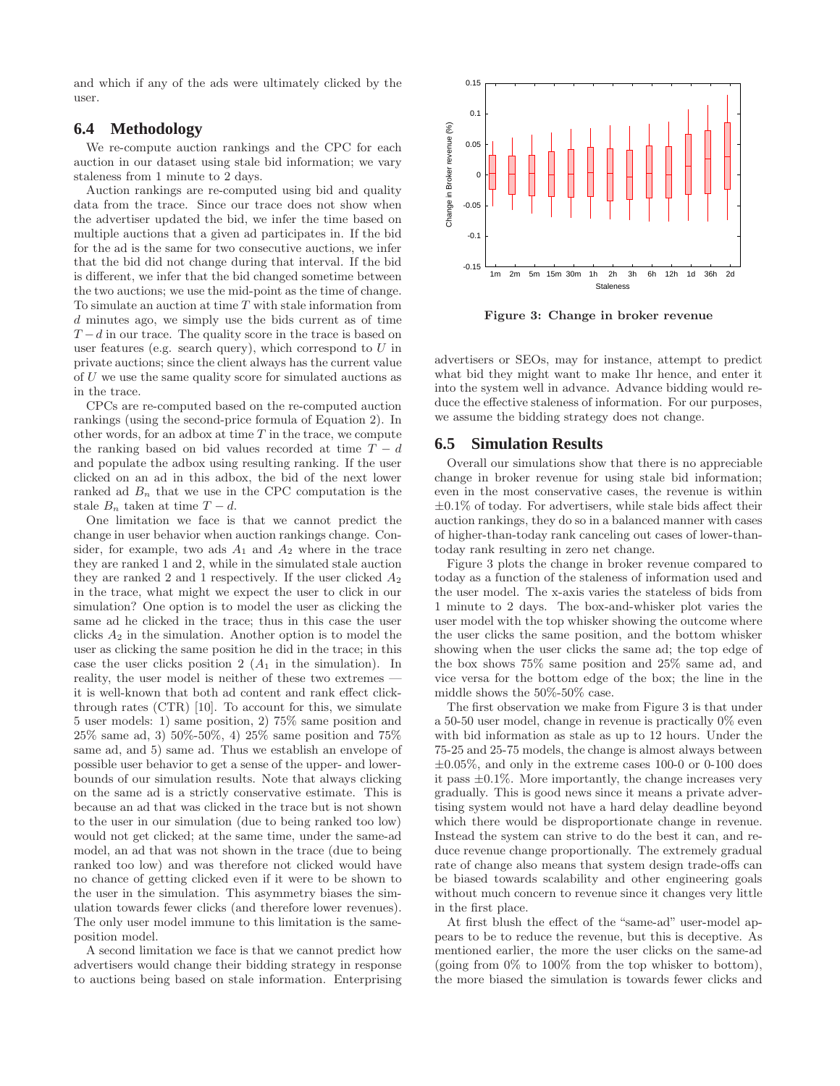and which if any of the ads were ultimately clicked by the user.

# **6.4 Methodology**

We re-compute auction rankings and the CPC for each auction in our dataset using stale bid information; we vary staleness from 1 minute to 2 days.

Auction rankings are re-computed using bid and quality data from the trace. Since our trace does not show when the advertiser updated the bid, we infer the time based on multiple auctions that a given ad participates in. If the bid for the ad is the same for two consecutive auctions, we infer that the bid did not change during that interval. If the bid is different, we infer that the bid changed sometime between the two auctions; we use the mid-point as the time of change. To simulate an auction at time  $T$  with stale information from d minutes ago, we simply use the bids current as of time  $T - d$  in our trace. The quality score in the trace is based on user features (e.g. search query), which correspond to  $U$  in private auctions; since the client always has the current value of U we use the same quality score for simulated auctions as in the trace.

CPCs are re-computed based on the re-computed auction rankings (using the second-price formula of Equation 2). In other words, for an adbox at time  $T$  in the trace, we compute the ranking based on bid values recorded at time  $T - d$ and populate the adbox using resulting ranking. If the user clicked on an ad in this adbox, the bid of the next lower ranked ad  $B_n$  that we use in the CPC computation is the stale  $B_n$  taken at time  $T - d$ .

One limitation we face is that we cannot predict the change in user behavior when auction rankings change. Consider, for example, two ads  $A_1$  and  $A_2$  where in the trace they are ranked 1 and 2, while in the simulated stale auction they are ranked 2 and 1 respectively. If the user clicked  $A_2$ in the trace, what might we expect the user to click in our simulation? One option is to model the user as clicking the same ad he clicked in the trace; thus in this case the user clicks  $A_2$  in the simulation. Another option is to model the user as clicking the same position he did in the trace; in this case the user clicks position 2  $(A_1)$  in the simulation). In reality, the user model is neither of these two extremes it is well-known that both ad content and rank effect clickthrough rates (CTR) [10]. To account for this, we simulate 5 user models: 1) same position, 2) 75% same position and 25% same ad, 3) 50%-50%, 4) 25% same position and 75% same ad, and 5) same ad. Thus we establish an envelope of possible user behavior to get a sense of the upper- and lowerbounds of our simulation results. Note that always clicking on the same ad is a strictly conservative estimate. This is because an ad that was clicked in the trace but is not shown to the user in our simulation (due to being ranked too low) would not get clicked; at the same time, under the same-ad model, an ad that was not shown in the trace (due to being ranked too low) and was therefore not clicked would have no chance of getting clicked even if it were to be shown to the user in the simulation. This asymmetry biases the simulation towards fewer clicks (and therefore lower revenues). The only user model immune to this limitation is the sameposition model.

A second limitation we face is that we cannot predict how advertisers would change their bidding strategy in response to auctions being based on stale information. Enterprising



Figure 3: Change in broker revenue

advertisers or SEOs, may for instance, attempt to predict what bid they might want to make 1hr hence, and enter it into the system well in advance. Advance bidding would reduce the effective staleness of information. For our purposes, we assume the bidding strategy does not change.

# **6.5 Simulation Results**

Overall our simulations show that there is no appreciable change in broker revenue for using stale bid information; even in the most conservative cases, the revenue is within  $\pm 0.1\%$  of today. For advertisers, while stale bids affect their auction rankings, they do so in a balanced manner with cases of higher-than-today rank canceling out cases of lower-thantoday rank resulting in zero net change.

Figure 3 plots the change in broker revenue compared to today as a function of the staleness of information used and the user model. The x-axis varies the stateless of bids from 1 minute to 2 days. The box-and-whisker plot varies the user model with the top whisker showing the outcome where the user clicks the same position, and the bottom whisker showing when the user clicks the same ad; the top edge of the box shows 75% same position and 25% same ad, and vice versa for the bottom edge of the box; the line in the middle shows the 50%-50% case.

The first observation we make from Figure 3 is that under a 50-50 user model, change in revenue is practically 0% even with bid information as stale as up to 12 hours. Under the 75-25 and 25-75 models, the change is almost always between  $\pm 0.05\%$ , and only in the extreme cases 100-0 or 0-100 does it pass  $\pm 0.1\%$ . More importantly, the change increases very gradually. This is good news since it means a private advertising system would not have a hard delay deadline beyond which there would be disproportionate change in revenue. Instead the system can strive to do the best it can, and reduce revenue change proportionally. The extremely gradual rate of change also means that system design trade-offs can be biased towards scalability and other engineering goals without much concern to revenue since it changes very little in the first place.

At first blush the effect of the "same-ad" user-model appears to be to reduce the revenue, but this is deceptive. As mentioned earlier, the more the user clicks on the same-ad (going from 0% to 100% from the top whisker to bottom), the more biased the simulation is towards fewer clicks and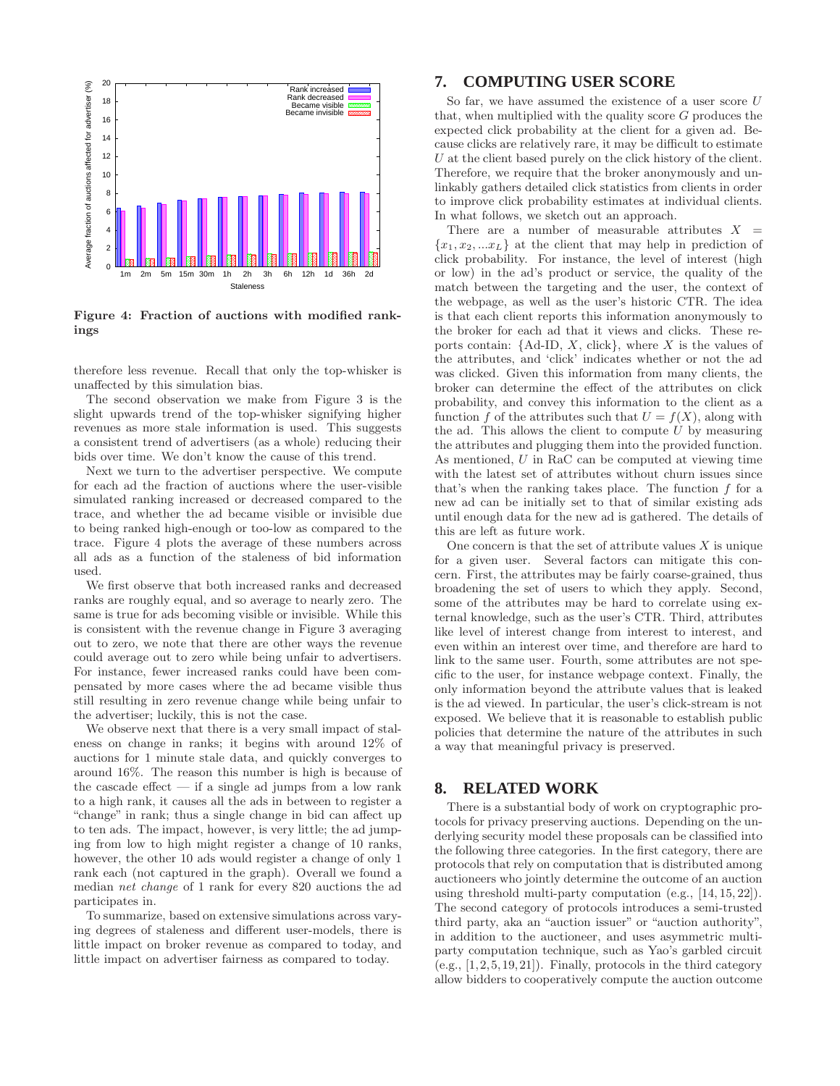

Figure 4: Fraction of auctions with modified rankings

therefore less revenue. Recall that only the top-whisker is unaffected by this simulation bias.

The second observation we make from Figure 3 is the slight upwards trend of the top-whisker signifying higher revenues as more stale information is used. This suggests a consistent trend of advertisers (as a whole) reducing their bids over time. We don't know the cause of this trend.

Next we turn to the advertiser perspective. We compute for each ad the fraction of auctions where the user-visible simulated ranking increased or decreased compared to the trace, and whether the ad became visible or invisible due to being ranked high-enough or too-low as compared to the trace. Figure 4 plots the average of these numbers across all ads as a function of the staleness of bid information used.

We first observe that both increased ranks and decreased ranks are roughly equal, and so average to nearly zero. The same is true for ads becoming visible or invisible. While this is consistent with the revenue change in Figure 3 averaging out to zero, we note that there are other ways the revenue could average out to zero while being unfair to advertisers. For instance, fewer increased ranks could have been compensated by more cases where the ad became visible thus still resulting in zero revenue change while being unfair to the advertiser; luckily, this is not the case.

We observe next that there is a very small impact of staleness on change in ranks; it begins with around 12% of auctions for 1 minute stale data, and quickly converges to around 16%. The reason this number is high is because of the cascade effect — if a single ad jumps from a low rank to a high rank, it causes all the ads in between to register a "change" in rank; thus a single change in bid can affect up to ten ads. The impact, however, is very little; the ad jumping from low to high might register a change of 10 ranks, however, the other 10 ads would register a change of only 1 rank each (not captured in the graph). Overall we found a median net change of 1 rank for every 820 auctions the ad participates in.

To summarize, based on extensive simulations across varying degrees of staleness and different user-models, there is little impact on broker revenue as compared to today, and little impact on advertiser fairness as compared to today.

# **7. COMPUTING USER SCORE**

So far, we have assumed the existence of a user score  $U$ that, when multiplied with the quality score G produces the expected click probability at the client for a given ad. Because clicks are relatively rare, it may be difficult to estimate U at the client based purely on the click history of the client. Therefore, we require that the broker anonymously and unlinkably gathers detailed click statistics from clients in order to improve click probability estimates at individual clients. In what follows, we sketch out an approach.

There are a number of measurable attributes  $X =$  ${x_1, x_2, ... x_L}$  at the client that may help in prediction of click probability. For instance, the level of interest (high or low) in the ad's product or service, the quality of the match between the targeting and the user, the context of the webpage, as well as the user's historic CTR. The idea is that each client reports this information anonymously to the broker for each ad that it views and clicks. These reports contain:  ${Ad-ID, X, click}$ , where X is the values of the attributes, and 'click' indicates whether or not the ad was clicked. Given this information from many clients, the broker can determine the effect of the attributes on click probability, and convey this information to the client as a function f of the attributes such that  $U = f(X)$ , along with the ad. This allows the client to compute  $U$  by measuring the attributes and plugging them into the provided function. As mentioned, U in RaC can be computed at viewing time with the latest set of attributes without churn issues since that's when the ranking takes place. The function  $f$  for a new ad can be initially set to that of similar existing ads until enough data for the new ad is gathered. The details of this are left as future work.

One concern is that the set of attribute values  $X$  is unique for a given user. Several factors can mitigate this concern. First, the attributes may be fairly coarse-grained, thus broadening the set of users to which they apply. Second, some of the attributes may be hard to correlate using external knowledge, such as the user's CTR. Third, attributes like level of interest change from interest to interest, and even within an interest over time, and therefore are hard to link to the same user. Fourth, some attributes are not specific to the user, for instance webpage context. Finally, the only information beyond the attribute values that is leaked is the ad viewed. In particular, the user's click-stream is not exposed. We believe that it is reasonable to establish public policies that determine the nature of the attributes in such a way that meaningful privacy is preserved.

# **8. RELATED WORK**

There is a substantial body of work on cryptographic protocols for privacy preserving auctions. Depending on the underlying security model these proposals can be classified into the following three categories. In the first category, there are protocols that rely on computation that is distributed among auctioneers who jointly determine the outcome of an auction using threshold multi-party computation (e.g., [14, 15, 22]). The second category of protocols introduces a semi-trusted third party, aka an "auction issuer" or "auction authority", in addition to the auctioneer, and uses asymmetric multiparty computation technique, such as Yao's garbled circuit  $(e.g., [1, 2, 5, 19, 21])$ . Finally, protocols in the third category allow bidders to cooperatively compute the auction outcome